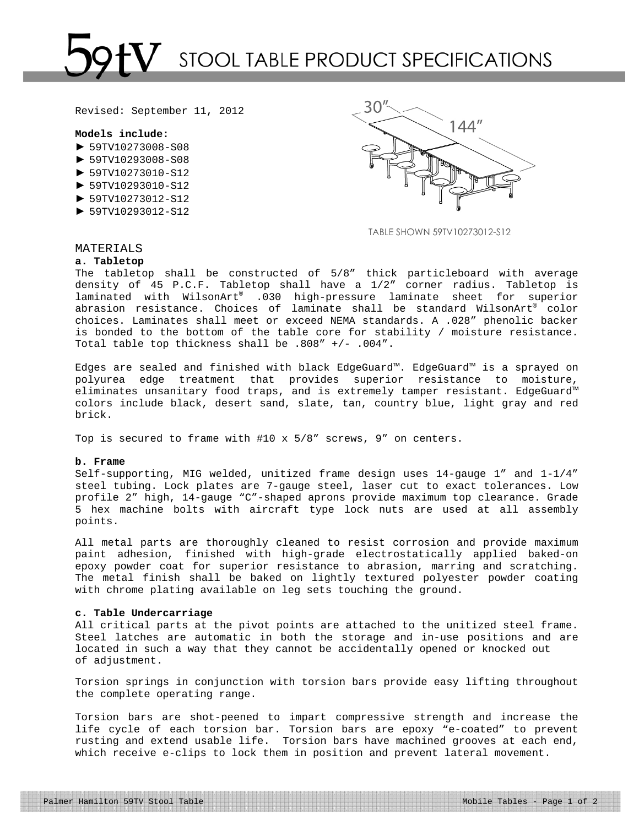# STOOL TABLE PRODUCT SPECIFICATIONS

Revised: September 11, 2012

## **Models include:**

- $\blacktriangleright$  59TV10273008-S08
- ► 59TV10293008-S08
- ► 59TV10273010-S12
- ► 59TV10293010-S12
- ► 59TV10273012-S12
- ► 59TV10293012-S12



TABLE SHOWN 59TV10273012-S12

# MATERIALS

## **a. Tabletop**

The tabletop shall be constructed of 5/8" thick particleboard with average density of 45 P.C.F. Tabletop shall have a 1/2" corner radius. Tabletop is laminated with WilsonArt® .030 high-pressure laminate sheet for superior abrasion resistance. Choices of laminate shall be standard WilsonArt® color choices. Laminates shall meet or exceed NEMA standards. A .028" phenolic backer is bonded to the bottom of the table core for stability / moisture resistance. Total table top thickness shall be .808" +/- .004".

Edges are sealed and finished with black EdgeGuard™. EdgeGuard™ is a sprayed on polyurea edge treatment that provides superior resistance to moisture, eliminates unsanitary food traps, and is extremely tamper resistant. EdgeGuard™ colors include black, desert sand, slate, tan, country blue, light gray and red brick.

Top is secured to frame with #10 x 5/8" screws, 9" on centers.

### **b. Frame**

Self-supporting, MIG welded, unitized frame design uses 14-gauge 1" and 1-1/4" steel tubing. Lock plates are 7-gauge steel, laser cut to exact tolerances. Low profile 2" high, 14-gauge "C"-shaped aprons provide maximum top clearance. Grade 5 hex machine bolts with aircraft type lock nuts are used at all assembly points.

All metal parts are thoroughly cleaned to resist corrosion and provide maximum paint adhesion, finished with high-grade electrostatically applied baked-on epoxy powder coat for superior resistance to abrasion, marring and scratching. The metal finish shall be baked on lightly textured polyester powder coating with chrome plating available on leg sets touching the ground.

## **c. Table Undercarriage**

All critical parts at the pivot points are attached to the unitized steel frame. Steel latches are automatic in both the storage and in-use positions and are located in such a way that they cannot be accidentally opened or knocked out of adjustment.

Torsion springs in conjunction with torsion bars provide easy lifting throughout the complete operating range.

Torsion bars are shot-peened to impart compressive strength and increase the life cycle of each torsion bar. Torsion bars are epoxy "e-coated" to prevent rusting and extend usable life. Torsion bars have machined grooves at each end, which receive e-clips to lock them in position and prevent lateral movement.

Palmer Hamilton 59TV Stool Table Mobile Tables - Page 1 of 2